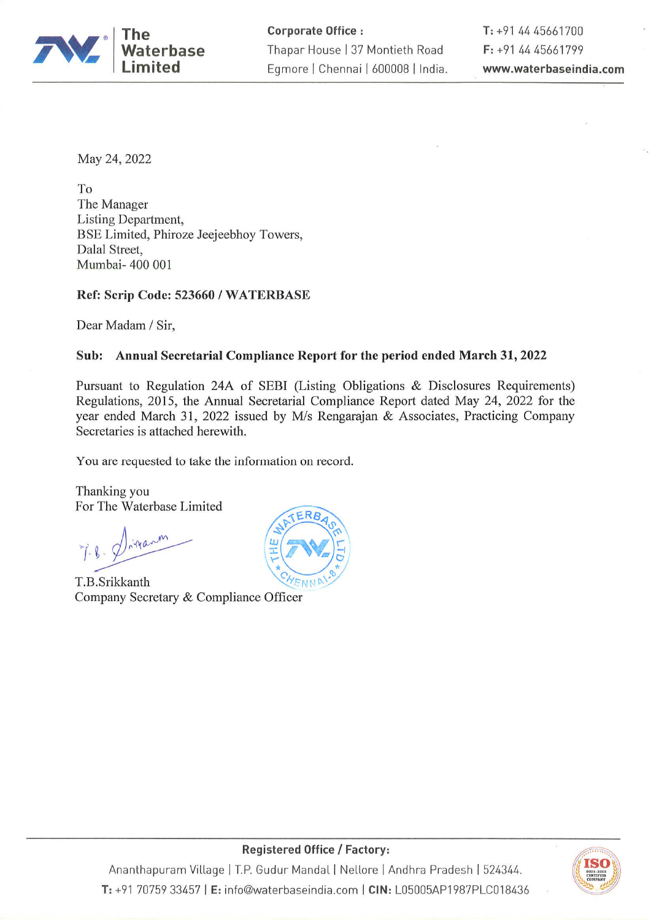

May 24, 2022

To The Manager Listing Department, BSE Limited, Phiroze Jeejeebhoy Towers, Dalal Street, Mumbai- 400 001

Ref: Scrip Code: 523660 / WATERBASE

Dear Madam / Sir,

## Sub: Annual Secretarial Compliance Report for the period ended March 31, 2022

Pursuant to Regulation 24A of SEBI (Listing Obligations & Disclosures Requirements) Regulations, 2015, the Annual Secretarial Compliance Report dated May 24, 2022 for the year ended March 31, 2022 issued by M/s Rengarajan & Associates, Practicing Company Secretaries is attached herewith.

You are requested to take the information on record.

Thanking you For The Waterbase Limited

tranm

T.B.Srikkanth Company Secretary & Compliance Officer





**Registered Office / Factory:** 

Ananthapuram Village | T.P. Gudur Mandal | Nellore | Andhra Pradesh | 524344. T: +91 70759 33457 | E: info@waterbaseindia.com | CIN: L05005AP1987PLC018436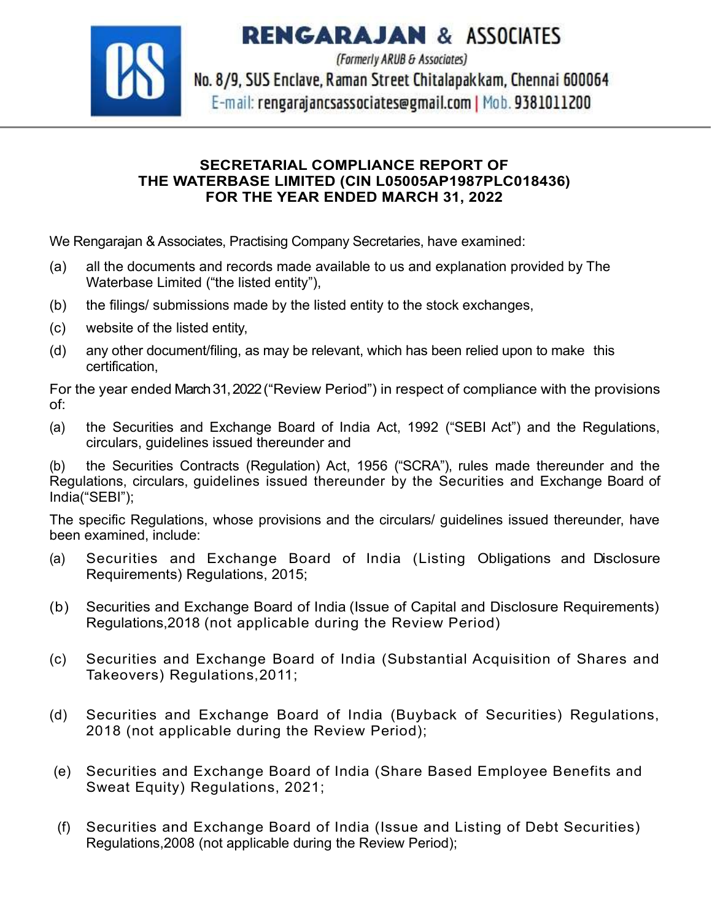**RENGARAJAN & ASSOCIATES** 



(Formerly ARUB & Associates) No. 8/9, SUS Enclave, Raman Street Chitalapakkam, Chennai 600064 E-mail: rengarajancsassociates@gmail.com | Mob. 9381011200

## SECRETARIAL COMPLIANCE REPORT OF THE WATERBASE LIMITED (CIN L05005AP1987PLC018436) FOR THE YEAR ENDED MARCH 31, 2022

We Rengarajan & Associates, Practising Company Secretaries, have examined:

- (a) all the documents and records made available to us and explanation provided by The Waterbase Limited ("the listed entity"),
- (b) the filings/ submissions made by the listed entity to the stock exchanges,
- (c) website of the listed entity,
- (d) any other document/filing, as may be relevant, which has been relied upon to make this certification,

For the year ended March 31, 2022 ("Review Period") in respect of compliance with the provisions of:

(a) the Securities and Exchange Board of India Act, 1992 ("SEBI Act") and the Regulations, circulars, guidelines issued thereunder and

(b) the Securities Contracts (Regulation) Act, 1956 ("SCRA"), rules made thereunder and the Regulations, circulars, guidelines issued thereunder by the Securities and Exchange Board of India("SEBI");

The specific Regulations, whose provisions and the circulars/ guidelines issued thereunder, have been examined, include:

- (a) Securities and Exchange Board of India (Listing Obligations and Disclosure Requirements) Regulations, 2015;
- (b) Securities and Exchange Board of India (Issue of Capital and Disclosure Requirements) Regulations,2018 (not applicable during the Review Period)
- (c) Securities and Exchange Board of India (Substantial Acquisition of Shares and Takeovers) Regulations,2011;
- (d) Securities and Exchange Board of India (Buyback of Securities) Regulations, 2018 (not applicable during the Review Period);
- (e) Securities and Exchange Board of India (Share Based Employee Benefits and Sweat Equity) Regulations, 2021;
- (f) Securities and Exchange Board of India (Issue and Listing of Debt Securities) Regulations,2008 (not applicable during the Review Period);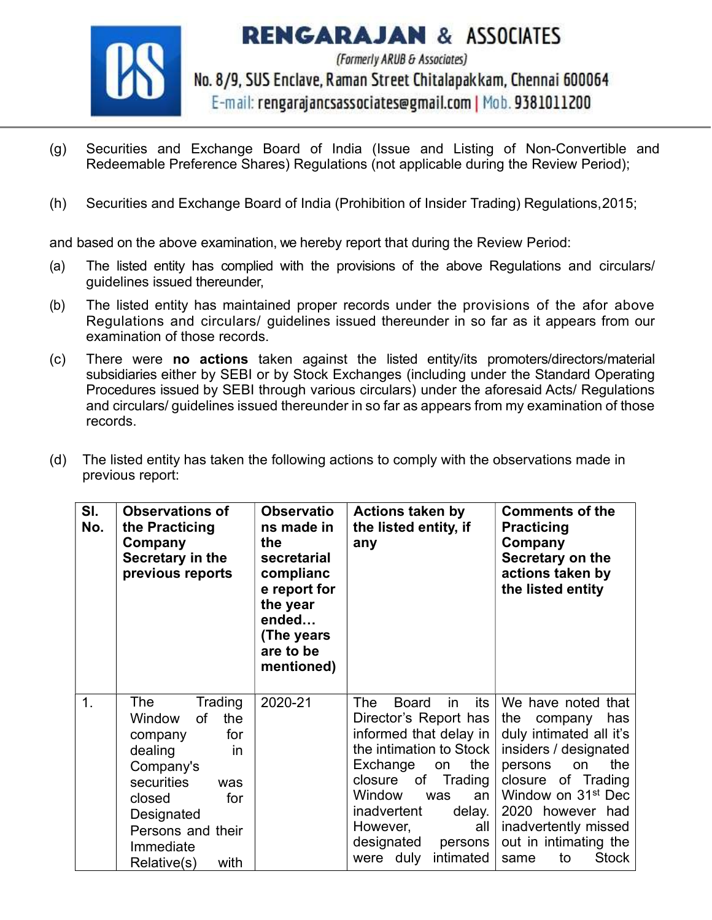

**RENGARAJAN & ASSOCIATES** (Formerly ARUB & Associates) No. 8/9, SUS Enclave, Raman Street Chitalapakkam, Chennai 600064 E-mail: rengarajancsassociates@gmail.com | Mob. 9381011200

- (g) Securities and Exchange Board of India (Issue and Listing of Non-Convertible and Redeemable Preference Shares) Regulations (not applicable during the Review Period);
- (h) Securities and Exchange Board of India (Prohibition of Insider Trading) Regulations,2015;

and based on the above examination, we hereby report that during the Review Period:

- (a) The listed entity has complied with the provisions of the above Regulations and circulars/ guidelines issued thereunder,
- (b) The listed entity has maintained proper records under the provisions of the afor above Regulations and circulars/ guidelines issued thereunder in so far as it appears from our examination of those records.
- (c) There were no actions taken against the listed entity/its promoters/directors/material subsidiaries either by SEBI or by Stock Exchanges (including under the Standard Operating Procedures issued by SEBI through various circulars) under the aforesaid Acts/ Regulations and circulars/ guidelines issued thereunder in so far as appears from my examination of those records.
- (d) The listed entity has taken the following actions to comply with the observations made in previous report:

| SI.<br>No. | <b>Observations of</b><br>the Practicing<br>Company<br>Secretary in the<br>previous reports                                                                                                        | <b>Observatio</b><br>ns made in<br>the<br>secretarial<br>complianc<br>e report for<br>the year<br>ended<br>(The years<br>are to be<br>mentioned) | <b>Actions taken by</b><br>the listed entity, if<br>any                                                                                                                                                                                                                                   | <b>Comments of the</b><br><b>Practicing</b><br>Company<br>Secretary on the<br>actions taken by<br>the listed entity                                                                                                                                                                |
|------------|----------------------------------------------------------------------------------------------------------------------------------------------------------------------------------------------------|--------------------------------------------------------------------------------------------------------------------------------------------------|-------------------------------------------------------------------------------------------------------------------------------------------------------------------------------------------------------------------------------------------------------------------------------------------|------------------------------------------------------------------------------------------------------------------------------------------------------------------------------------------------------------------------------------------------------------------------------------|
| 1.         | Trading<br>The<br>the<br>Window<br>of<br>for<br>company<br>in<br>dealing<br>Company's<br>securities<br>was<br>closed<br>for<br>Designated<br>Persons and their<br>Immediate<br>with<br>Relative(s) | 2020-21                                                                                                                                          | The<br>its<br><b>Board</b><br>in<br>Director's Report has<br>informed that delay in<br>the intimation to Stock<br>the<br>Exchange<br>on<br>Trading<br>closure of<br>Window<br>was<br>an<br>inadvertent<br>delay.<br>However,<br>all<br>designated<br>persons<br>intimated<br>duly<br>were | We have noted that<br>the<br>has<br>company<br>duly intimated all it's<br>insiders / designated<br>the<br>persons<br>on<br>closure of Trading<br>Window on 31 <sup>st</sup> Dec<br>2020 however had<br>inadvertently missed<br>out in intimating the<br><b>Stock</b><br>to<br>same |